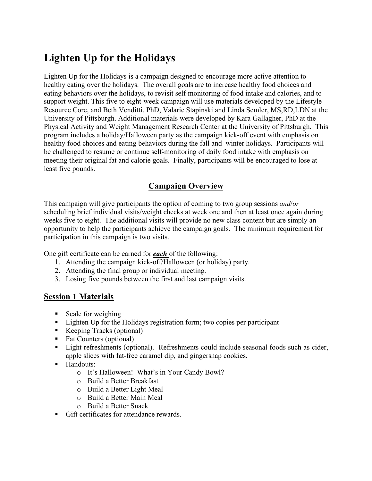# **Lighten Up for the Holidays**

Lighten Up for the Holidays is a campaign designed to encourage more active attention to healthy eating over the holidays. The overall goals are to increase healthy food choices and eating behaviors over the holidays, to revisit self-monitoring of food intake and calories, and to support weight. This five to eight-week campaign will use materials developed by the Lifestyle Resource Core, and Beth Venditti, PhD, Valarie Stapinski and Linda Semler, MS,RD,LDN at the University of Pittsburgh. Additional materials were developed by Kara Gallagher, PhD at the Physical Activity and Weight Management Research Center at the University of Pittsburgh. This program includes a holiday/Halloween party as the campaign kick-off event with emphasis on healthy food choices and eating behaviors during the fall and winter holidays. Participants will be challenged to resume or continue self-monitoring of daily food intake with emphasis on meeting their original fat and calorie goals. Finally, participants will be encouraged to lose at least five pounds.

## **Campaign Overview**

This campaign will give participants the option of coming to two group sessions *and*/*or*  scheduling brief individual visits/weight checks at week one and then at least once again during weeks five to eight. The additional visits will provide no new class content but are simply an opportunity to help the participants achieve the campaign goals. The minimum requirement for participation in this campaign is two visits.

One gift certificate can be earned for *each* of the following:

- 1. Attending the campaign kick-off/Halloween (or holiday) party.
- 2. Attending the final group or individual meeting.
- 3. Losing five pounds between the first and last campaign visits.

#### **Session 1 Materials**

- Scale for weighing
- Lighten Up for the Holidays registration form; two copies per participant
- Keeping Tracks (optional)
- Fat Counters (optional)
- Light refreshments (optional). Refreshments could include seasonal foods such as cider, apple slices with fat-free caramel dip, and gingersnap cookies.
- **Handouts:** 
	- o It's Halloween! What's in Your Candy Bowl?
	- o Build a Better Breakfast
	- o Build a Better Light Meal
	- o Build a Better Main Meal
	- o Build a Better Snack
- Gift certificates for attendance rewards.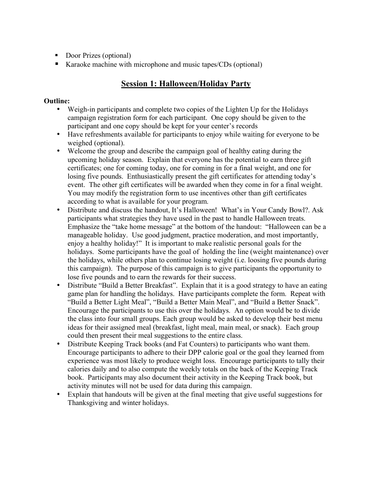- Door Prizes (optional)
- Karaoke machine with microphone and music tapes/CDs (optional)

### **Session 1: Halloween/Holiday Party**

#### **Outline:**

- Weigh-in participants and complete two copies of the Lighten Up for the Holidays campaign registration form for each participant. One copy should be given to the participant and one copy should be kept for your center's records
- Have refreshments available for participants to enjoy while waiting for everyone to be weighed (optional).
- Welcome the group and describe the campaign goal of healthy eating during the upcoming holiday season. Explain that everyone has the potential to earn three gift certificates; one for coming today, one for coming in for a final weight, and one for losing five pounds. Enthusiastically present the gift certificates for attending today's event. The other gift certificates will be awarded when they come in for a final weight. You may modify the registration form to use incentives other than gift certificates according to what is available for your program.
- Distribute and discuss the handout, It's Halloween! What's in Your Candy Bowl?. Ask participants what strategies they have used in the past to handle Halloween treats. Emphasize the "take home message" at the bottom of the handout: "Halloween can be a manageable holiday. Use good judgment, practice moderation, and most importantly, enjoy a healthy holiday!" It is important to make realistic personal goals for the holidays. Some participants have the goal of holding the line (weight maintenance) over the holidays, while others plan to continue losing weight (i.e. loosing five pounds during this campaign). The purpose of this campaign is to give participants the opportunity to lose five pounds and to earn the rewards for their success.
- Distribute "Build a Better Breakfast". Explain that it is a good strategy to have an eating game plan for handling the holidays. Have participants complete the form. Repeat with "Build a Better Light Meal", "Build a Better Main Meal", and "Build a Better Snack". Encourage the participants to use this over the holidays. An option would be to divide the class into four small groups. Each group would be asked to develop their best menu ideas for their assigned meal (breakfast, light meal, main meal, or snack). Each group could then present their meal suggestions to the entire class.
- Distribute Keeping Track books (and Fat Counters) to participants who want them. Encourage participants to adhere to their DPP calorie goal or the goal they learned from experience was most likely to produce weight loss. Encourage participants to tally their calories daily and to also compute the weekly totals on the back of the Keeping Track book. Participants may also document their activity in the Keeping Track book, but activity minutes will not be used for data during this campaign.
- Explain that handouts will be given at the final meeting that give useful suggestions for Thanksgiving and winter holidays.